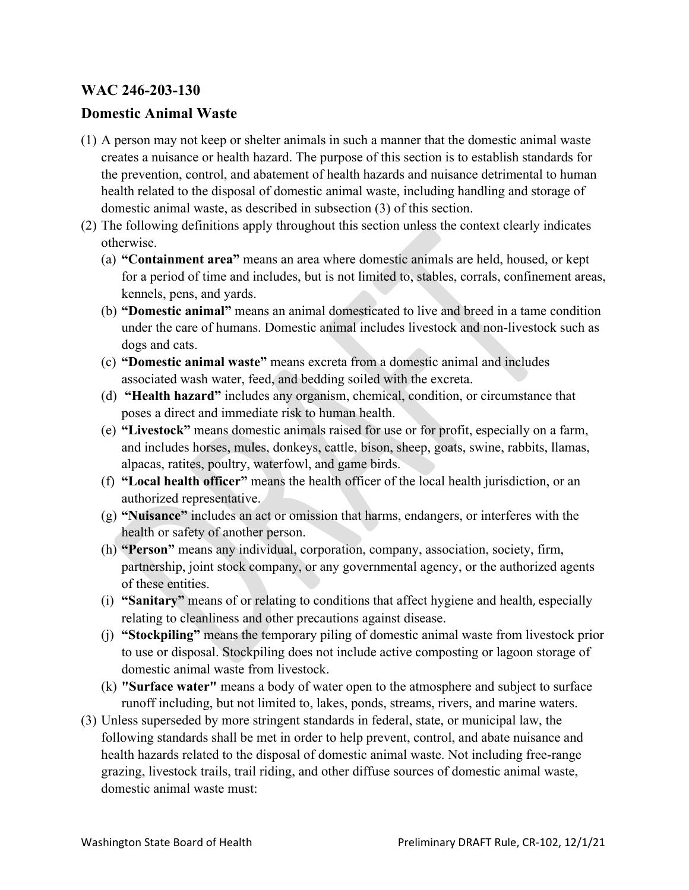## **WAC 246-203-130**

## **Domestic Animal Waste**

- (1) A person may not keep or shelter animals in such a manner that the domestic animal waste creates a nuisance or health hazard. The purpose of this section is to establish standards for the prevention, control, and abatement of health hazards and nuisance detrimental to human health related to the disposal of domestic animal waste, including handling and storage of domestic animal waste, as described in subsection (3) of this section.
- (2) The following definitions apply throughout this section unless the context clearly indicates otherwise.
	- (a) **"Containment area"** means an area where domestic animals are held, housed, or kept for a period of time and includes, but is not limited to, stables, corrals, confinement areas, kennels, pens, and yards.
	- (b) **"Domestic animal"** means an animal domesticated to live and breed in a tame condition under the care of humans. Domestic animal includes livestock and non-livestock such as dogs and cats.
	- (c) **"Domestic animal waste"** means excreta from a domestic animal and includes associated wash water, feed, and bedding soiled with the excreta.
	- (d) **"Health hazard"** includes any organism, chemical, condition, or circumstance that poses a direct and immediate risk to human health.
	- (e) **"Livestock"** means domestic animals raised for use or for profit, especially on a farm, and includes horses, mules, donkeys, cattle, bison, sheep, goats, swine, rabbits, llamas, alpacas, ratites, poultry, waterfowl, and game birds.
	- (f) **"Local health officer"** means the health officer of the local health jurisdiction, or an authorized representative.
	- (g) **"Nuisance"** includes an act or omission that harms, endangers, or interferes with the health or safety of another person.
	- (h) **"Person"** means any individual, corporation, company, association, society, firm, partnership, joint stock company, or any governmental agency, or the authorized agents of these entities.
	- (i) **"Sanitary"** means of or relating to conditions that affect hygiene and health, especially relating to cleanliness and other precautions against disease.
	- (j) **"Stockpiling"** means the temporary piling of domestic animal waste from livestock prior to use or disposal. Stockpiling does not include active composting or lagoon storage of domestic animal waste from livestock.
	- (k) **"Surface water"** means a body of water open to the atmosphere and subject to surface runoff including, but not limited to, lakes, ponds, streams, rivers, and marine waters.
- (3) Unless superseded by more stringent standards in federal, state, or municipal law, the following standards shall be met in order to help prevent, control, and abate nuisance and health hazards related to the disposal of domestic animal waste. Not including free-range grazing, livestock trails, trail riding, and other diffuse sources of domestic animal waste, domestic animal waste must: